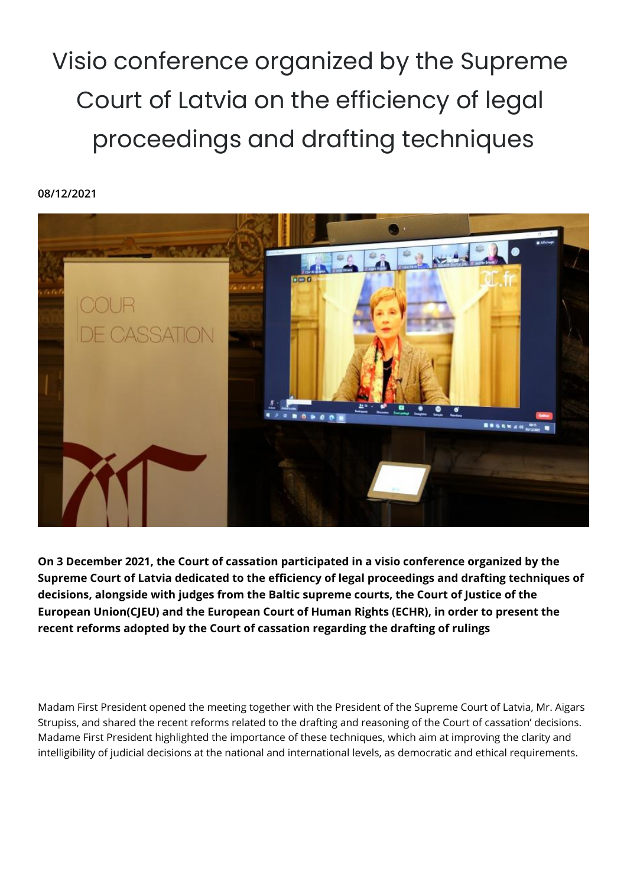Visio conference organized by the Supreme Court of Latvia on the efficiency of legal proceedings and drafting techniques

## **08/12/2021**



**On 3 December 2021, the Court of cassation participated in a visio conference organized by the Supreme Court of Latvia dedicated to the efficiency of legal proceedings and drafting techniques of decisions, alongside with judges from the Baltic supreme courts, the Court of Justice of the European Union(CJEU) and the European Court of Human Rights (ECHR), in order to present the recent reforms adopted by the Court of cassation regarding the drafting of rulings**

Madam First President opened the meeting together with the President of the Supreme Court of Latvia, Mr. Aigars Strupiss, and shared the recent reforms related to the drafting and reasoning of the Court of cassation' decisions. Madame First President highlighted the importance of these techniques, which aim at improving the clarity and intelligibility of judicial decisions at the national and international levels, as democratic and ethical requirements.